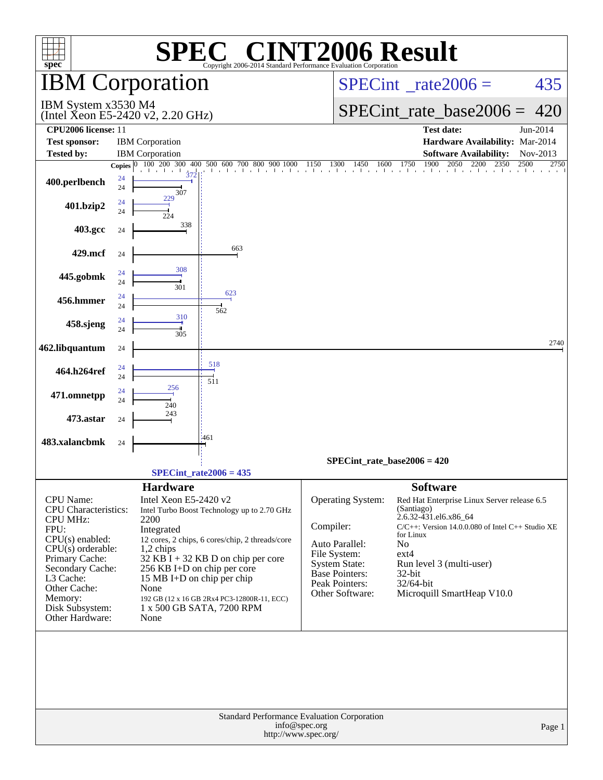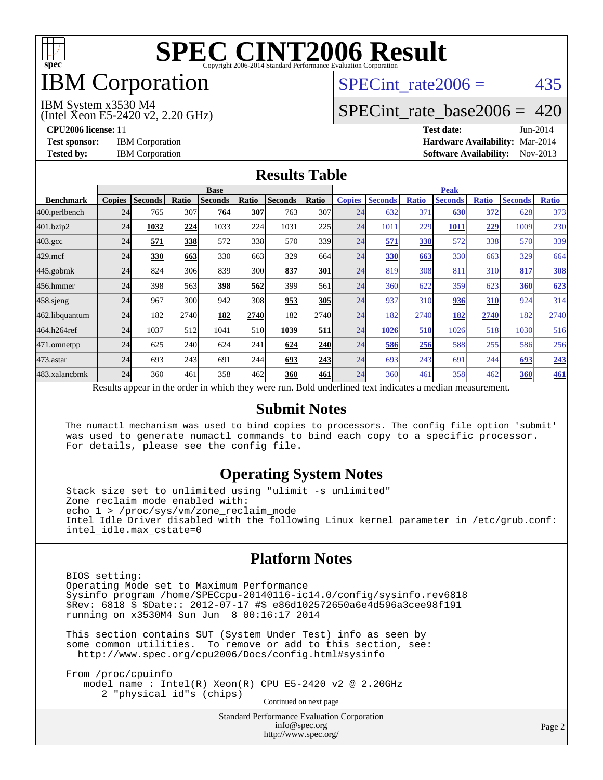

## IBM Corporation

# SPECint rate $2006 = 435$

#### IBM System x3530 M4

(Intel Xeon E5-2420 v2, 2.20 GHz)

[SPECint\\_rate\\_base2006 =](http://www.spec.org/auto/cpu2006/Docs/result-fields.html#SPECintratebase2006) 420

**[CPU2006 license:](http://www.spec.org/auto/cpu2006/Docs/result-fields.html#CPU2006license)** 11 **[Test date:](http://www.spec.org/auto/cpu2006/Docs/result-fields.html#Testdate)** Jun-2014 **[Test sponsor:](http://www.spec.org/auto/cpu2006/Docs/result-fields.html#Testsponsor)** IBM Corporation **[Hardware Availability:](http://www.spec.org/auto/cpu2006/Docs/result-fields.html#HardwareAvailability)** Mar-2014 **[Tested by:](http://www.spec.org/auto/cpu2006/Docs/result-fields.html#Testedby)** IBM Corporation **[Software Availability:](http://www.spec.org/auto/cpu2006/Docs/result-fields.html#SoftwareAvailability)** Nov-2013

#### **[Results Table](http://www.spec.org/auto/cpu2006/Docs/result-fields.html#ResultsTable)**

|                    | <b>Base</b>   |                |       |                                                                                                          |            |                |            | <b>Peak</b>   |                |              |                |              |                |              |
|--------------------|---------------|----------------|-------|----------------------------------------------------------------------------------------------------------|------------|----------------|------------|---------------|----------------|--------------|----------------|--------------|----------------|--------------|
| <b>Benchmark</b>   | <b>Copies</b> | <b>Seconds</b> | Ratio | <b>Seconds</b>                                                                                           | Ratio      | <b>Seconds</b> | Ratio      | <b>Copies</b> | <b>Seconds</b> | <b>Ratio</b> | <b>Seconds</b> | <b>Ratio</b> | <b>Seconds</b> | <b>Ratio</b> |
| 400.perlbench      | 24            | 765            | 307   | 764                                                                                                      | 307        | 763            | 307        | 24            | 632            | 371          | 630            | 372          | 628            | 373          |
| 401.bzip2          | 24            | 1032           | 224   | 1033                                                                                                     | 224        | 1031           | 225        | 24            | 1011           | 229          | 1011           | 229          | 1009           | 230          |
| $403.\mathrm{gcc}$ | 24            | 571            | 338   | 572                                                                                                      | 338        | 570            | 339        | 24            | 571            | 338          | 572            | 338          | 570            | 339          |
| $429$ .mcf         | 24            | 330            | 663   | 330                                                                                                      | 663        | 329            | 664        | 24            | 330            | 663          | 330            | 663          | 329            | 664          |
| $445$ .gobmk       | 24            | 824            | 306   | 839                                                                                                      | <b>300</b> | 837            | 301        | 24            | 819            | 308          | 811            | 310          | 817            | <b>308</b>   |
| 456.hmmer          | 24            | 398            | 563   | 398                                                                                                      | 562        | 399            | 561        | 24            | 360            | 622          | 359            | 623          | 360            | 623          |
| $458$ .sjeng       | 24            | 967            | 300   | 942                                                                                                      | 308        | 953            | <b>305</b> | 24            | 937            | 310          | 936            | 310          | 924            | 314          |
| 462.libquantum     | 24            | 182            | 2740  | 182                                                                                                      | 2740       | 182            | 2740       | 24            | 182            | 2740         | 182            | 2740         | 182            | 2740         |
| 464.h264ref        | 24            | 1037           | 512   | 1041                                                                                                     | 510        | 1039           | 511        | 24            | 1026           | 518          | 1026           | 518          | 1030           | 516          |
| 471.omnetpp        | 24            | 625            | 240   | 624                                                                                                      | 241        | 624            | <b>240</b> | 24            | 586            | 256          | 588            | 255          | 586            | 256          |
| $473$ . astar      | 24            | 693            | 243   | 691                                                                                                      | 244        | 693            | 243        | 24            | 693            | 243          | 691            | 244          | 693            | 243          |
| 483.xalancbmk      | 24            | 360            | 461   | 358                                                                                                      | 462        | 360            | 461        | 24            | 360            | 461          | 358            | 462          | 360            | <u>461</u>   |
|                    |               |                |       | Results appear in the order in which they were run. Bold underlined text indicates a median measurement. |            |                |            |               |                |              |                |              |                |              |

#### **[Submit Notes](http://www.spec.org/auto/cpu2006/Docs/result-fields.html#SubmitNotes)**

 The numactl mechanism was used to bind copies to processors. The config file option 'submit' was used to generate numactl commands to bind each copy to a specific processor. For details, please see the config file.

#### **[Operating System Notes](http://www.spec.org/auto/cpu2006/Docs/result-fields.html#OperatingSystemNotes)**

 Stack size set to unlimited using "ulimit -s unlimited" Zone reclaim mode enabled with: echo 1 > /proc/sys/vm/zone\_reclaim\_mode Intel Idle Driver disabled with the following Linux kernel parameter in /etc/grub.conf: intel\_idle.max\_cstate=0

#### **[Platform Notes](http://www.spec.org/auto/cpu2006/Docs/result-fields.html#PlatformNotes)**

 BIOS setting: Operating Mode set to Maximum Performance Sysinfo program /home/SPECcpu-20140116-ic14.0/config/sysinfo.rev6818 \$Rev: 6818 \$ \$Date:: 2012-07-17 #\$ e86d102572650a6e4d596a3cee98f191 running on x3530M4 Sun Jun 8 00:16:17 2014

 This section contains SUT (System Under Test) info as seen by some common utilities. To remove or add to this section, see: <http://www.spec.org/cpu2006/Docs/config.html#sysinfo>

 From /proc/cpuinfo model name : Intel(R) Xeon(R) CPU E5-2420 v2 @ 2.20GHz 2 "physical id"s (chips) Continued on next page

> Standard Performance Evaluation Corporation [info@spec.org](mailto:info@spec.org) <http://www.spec.org/>

Page 2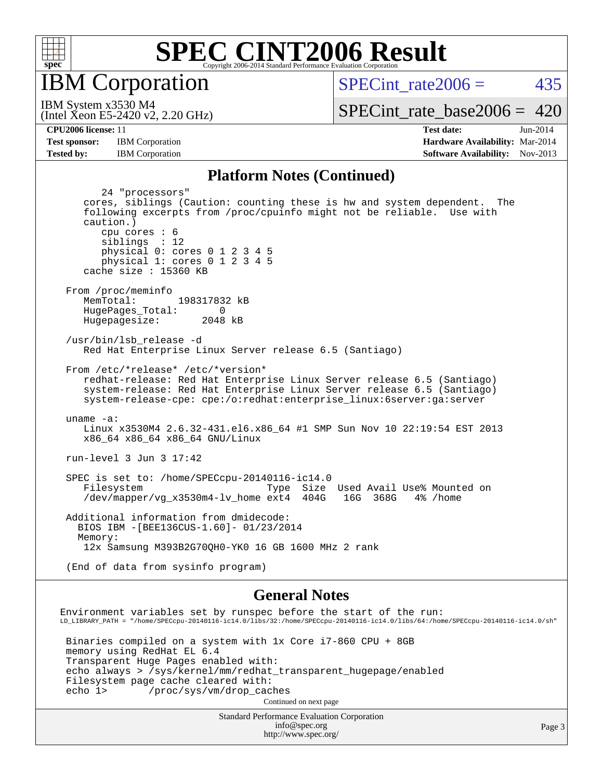

IBM Corporation

SPECint rate $2006 = 435$ 

(Intel Xeon E5-2420 v2, 2.20 GHz) IBM System x3530 M4

[SPECint\\_rate\\_base2006 =](http://www.spec.org/auto/cpu2006/Docs/result-fields.html#SPECintratebase2006) 420

**[CPU2006 license:](http://www.spec.org/auto/cpu2006/Docs/result-fields.html#CPU2006license)** 11 **[Test date:](http://www.spec.org/auto/cpu2006/Docs/result-fields.html#Testdate)** Jun-2014 **[Test sponsor:](http://www.spec.org/auto/cpu2006/Docs/result-fields.html#Testsponsor)** IBM Corporation **[Hardware Availability:](http://www.spec.org/auto/cpu2006/Docs/result-fields.html#HardwareAvailability)** Mar-2014 **[Tested by:](http://www.spec.org/auto/cpu2006/Docs/result-fields.html#Testedby)** IBM Corporation **[Software Availability:](http://www.spec.org/auto/cpu2006/Docs/result-fields.html#SoftwareAvailability)** Nov-2013

#### **[Platform Notes \(Continued\)](http://www.spec.org/auto/cpu2006/Docs/result-fields.html#PlatformNotes)**

 24 "processors" cores, siblings (Caution: counting these is hw and system dependent. The following excerpts from /proc/cpuinfo might not be reliable. Use with caution.) cpu cores : 6 siblings : 12 physical 0: cores 0 1 2 3 4 5 physical 1: cores 0 1 2 3 4 5 cache size : 15360 KB From /proc/meminfo MemTotal: 198317832 kB HugePages\_Total: 0<br>Hugepagesize: 2048 kB Hugepagesize: /usr/bin/lsb\_release -d Red Hat Enterprise Linux Server release 6.5 (Santiago) From /etc/\*release\* /etc/\*version\* redhat-release: Red Hat Enterprise Linux Server release 6.5 (Santiago) system-release: Red Hat Enterprise Linux Server release 6.5 (Santiago) system-release-cpe: cpe:/o:redhat:enterprise\_linux:6server:ga:server uname -a: Linux x3530M4 2.6.32-431.el6.x86\_64 #1 SMP Sun Nov 10 22:19:54 EST 2013 x86\_64 x86\_64 x86\_64 GNU/Linux run-level 3 Jun 3 17:42 SPEC is set to: /home/SPECcpu-20140116-ic14.0 Filesystem Type Size Used Avail Use% Mounted on<br>
/dev/mapper/vg\_x3530m4-lv\_home ext4 404G 16G 368G 4% /home  $/$ dev/mapper/vg\_x3530m4-lv\_home ext4 Additional information from dmidecode: BIOS IBM -[BEE136CUS-1.60]- 01/23/2014 Memory: 12x Samsung M393B2G70QH0-YK0 16 GB 1600 MHz 2 rank (End of data from sysinfo program)

#### **[General Notes](http://www.spec.org/auto/cpu2006/Docs/result-fields.html#GeneralNotes)**

Environment variables set by runspec before the start of the run: LD\_LIBRARY\_PATH = "/home/SPECcpu-20140116-ic14.0/libs/32:/home/SPECcpu-20140116-ic14.0/libs/64:/home/SPECcpu-20140116-ic14.0/sh" Binaries compiled on a system with 1x Core i7-860 CPU + 8GB memory using RedHat EL 6.4 Transparent Huge Pages enabled with: echo always > /sys/kernel/mm/redhat\_transparent\_hugepage/enabled Filesystem page cache cleared with: echo 1> /proc/sys/vm/drop\_caches Continued on next page

Standard Performance Evaluation Corporation [info@spec.org](mailto:info@spec.org) <http://www.spec.org/>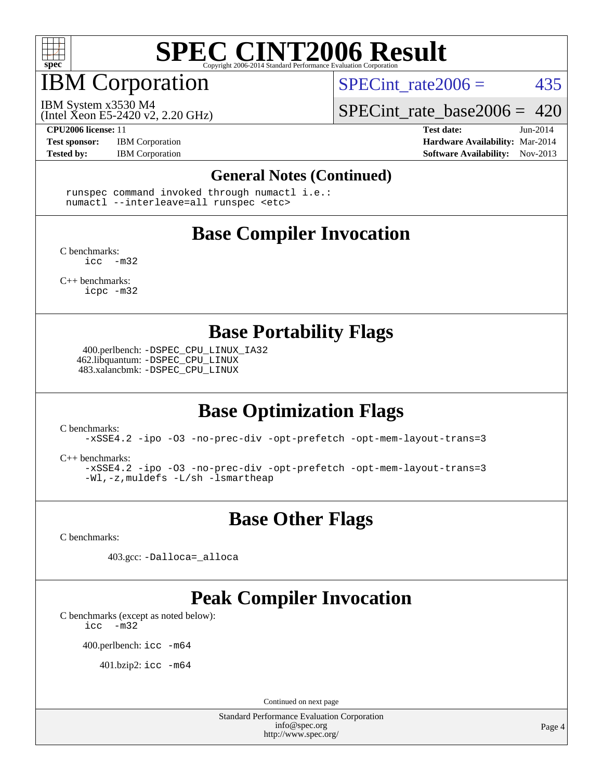

# IBM Corporation

(Intel Xeon E5-2420 v2, 2.20 GHz)

SPECint rate $2006 = 435$ 

IBM System x3530 M4

[SPECint\\_rate\\_base2006 =](http://www.spec.org/auto/cpu2006/Docs/result-fields.html#SPECintratebase2006) 420

**[Test sponsor:](http://www.spec.org/auto/cpu2006/Docs/result-fields.html#Testsponsor)** IBM Corporation **[Hardware Availability:](http://www.spec.org/auto/cpu2006/Docs/result-fields.html#HardwareAvailability)** Mar-2014

**[CPU2006 license:](http://www.spec.org/auto/cpu2006/Docs/result-fields.html#CPU2006license)** 11 **[Test date:](http://www.spec.org/auto/cpu2006/Docs/result-fields.html#Testdate)** Jun-2014 **[Tested by:](http://www.spec.org/auto/cpu2006/Docs/result-fields.html#Testedby)** IBM Corporation **IBM** Corporation **[Software Availability:](http://www.spec.org/auto/cpu2006/Docs/result-fields.html#SoftwareAvailability)** Nov-2013

#### **[General Notes \(Continued\)](http://www.spec.org/auto/cpu2006/Docs/result-fields.html#GeneralNotes)**

 runspec command invoked through numactl i.e.: numactl --interleave=all runspec <etc>

### **[Base Compiler Invocation](http://www.spec.org/auto/cpu2006/Docs/result-fields.html#BaseCompilerInvocation)**

[C benchmarks](http://www.spec.org/auto/cpu2006/Docs/result-fields.html#Cbenchmarks):  $inc -m32$ 

[C++ benchmarks:](http://www.spec.org/auto/cpu2006/Docs/result-fields.html#CXXbenchmarks) [icpc -m32](http://www.spec.org/cpu2006/results/res2014q3/cpu2006-20140611-29872.flags.html#user_CXXbase_intel_icpc_4e5a5ef1a53fd332b3c49e69c3330699)

**[Base Portability Flags](http://www.spec.org/auto/cpu2006/Docs/result-fields.html#BasePortabilityFlags)**

 400.perlbench: [-DSPEC\\_CPU\\_LINUX\\_IA32](http://www.spec.org/cpu2006/results/res2014q3/cpu2006-20140611-29872.flags.html#b400.perlbench_baseCPORTABILITY_DSPEC_CPU_LINUX_IA32) 462.libquantum: [-DSPEC\\_CPU\\_LINUX](http://www.spec.org/cpu2006/results/res2014q3/cpu2006-20140611-29872.flags.html#b462.libquantum_baseCPORTABILITY_DSPEC_CPU_LINUX) 483.xalancbmk: [-DSPEC\\_CPU\\_LINUX](http://www.spec.org/cpu2006/results/res2014q3/cpu2006-20140611-29872.flags.html#b483.xalancbmk_baseCXXPORTABILITY_DSPEC_CPU_LINUX)

### **[Base Optimization Flags](http://www.spec.org/auto/cpu2006/Docs/result-fields.html#BaseOptimizationFlags)**

[C benchmarks](http://www.spec.org/auto/cpu2006/Docs/result-fields.html#Cbenchmarks):

[-xSSE4.2](http://www.spec.org/cpu2006/results/res2014q3/cpu2006-20140611-29872.flags.html#user_CCbase_f-xSSE42_f91528193cf0b216347adb8b939d4107) [-ipo](http://www.spec.org/cpu2006/results/res2014q3/cpu2006-20140611-29872.flags.html#user_CCbase_f-ipo) [-O3](http://www.spec.org/cpu2006/results/res2014q3/cpu2006-20140611-29872.flags.html#user_CCbase_f-O3) [-no-prec-div](http://www.spec.org/cpu2006/results/res2014q3/cpu2006-20140611-29872.flags.html#user_CCbase_f-no-prec-div) [-opt-prefetch](http://www.spec.org/cpu2006/results/res2014q3/cpu2006-20140611-29872.flags.html#user_CCbase_f-opt-prefetch) [-opt-mem-layout-trans=3](http://www.spec.org/cpu2006/results/res2014q3/cpu2006-20140611-29872.flags.html#user_CCbase_f-opt-mem-layout-trans_a7b82ad4bd7abf52556d4961a2ae94d5)

[C++ benchmarks:](http://www.spec.org/auto/cpu2006/Docs/result-fields.html#CXXbenchmarks)

[-xSSE4.2](http://www.spec.org/cpu2006/results/res2014q3/cpu2006-20140611-29872.flags.html#user_CXXbase_f-xSSE42_f91528193cf0b216347adb8b939d4107) [-ipo](http://www.spec.org/cpu2006/results/res2014q3/cpu2006-20140611-29872.flags.html#user_CXXbase_f-ipo) [-O3](http://www.spec.org/cpu2006/results/res2014q3/cpu2006-20140611-29872.flags.html#user_CXXbase_f-O3) [-no-prec-div](http://www.spec.org/cpu2006/results/res2014q3/cpu2006-20140611-29872.flags.html#user_CXXbase_f-no-prec-div) [-opt-prefetch](http://www.spec.org/cpu2006/results/res2014q3/cpu2006-20140611-29872.flags.html#user_CXXbase_f-opt-prefetch) [-opt-mem-layout-trans=3](http://www.spec.org/cpu2006/results/res2014q3/cpu2006-20140611-29872.flags.html#user_CXXbase_f-opt-mem-layout-trans_a7b82ad4bd7abf52556d4961a2ae94d5) [-Wl,-z,muldefs](http://www.spec.org/cpu2006/results/res2014q3/cpu2006-20140611-29872.flags.html#user_CXXbase_link_force_multiple1_74079c344b956b9658436fd1b6dd3a8a) [-L/sh -lsmartheap](http://www.spec.org/cpu2006/results/res2014q3/cpu2006-20140611-29872.flags.html#user_CXXbase_SmartHeap_32f6c82aa1ed9c52345d30cf6e4a0499)

### **[Base Other Flags](http://www.spec.org/auto/cpu2006/Docs/result-fields.html#BaseOtherFlags)**

[C benchmarks](http://www.spec.org/auto/cpu2006/Docs/result-fields.html#Cbenchmarks):

403.gcc: [-Dalloca=\\_alloca](http://www.spec.org/cpu2006/results/res2014q3/cpu2006-20140611-29872.flags.html#b403.gcc_baseEXTRA_CFLAGS_Dalloca_be3056838c12de2578596ca5467af7f3)

## **[Peak Compiler Invocation](http://www.spec.org/auto/cpu2006/Docs/result-fields.html#PeakCompilerInvocation)**

[C benchmarks \(except as noted below\)](http://www.spec.org/auto/cpu2006/Docs/result-fields.html#Cbenchmarksexceptasnotedbelow):

[icc -m32](http://www.spec.org/cpu2006/results/res2014q3/cpu2006-20140611-29872.flags.html#user_CCpeak_intel_icc_5ff4a39e364c98233615fdd38438c6f2)

400.perlbench: [icc -m64](http://www.spec.org/cpu2006/results/res2014q3/cpu2006-20140611-29872.flags.html#user_peakCCLD400_perlbench_intel_icc_64bit_bda6cc9af1fdbb0edc3795bac97ada53)

401.bzip2: [icc -m64](http://www.spec.org/cpu2006/results/res2014q3/cpu2006-20140611-29872.flags.html#user_peakCCLD401_bzip2_intel_icc_64bit_bda6cc9af1fdbb0edc3795bac97ada53)

Continued on next page

Standard Performance Evaluation Corporation [info@spec.org](mailto:info@spec.org) <http://www.spec.org/>

Page 4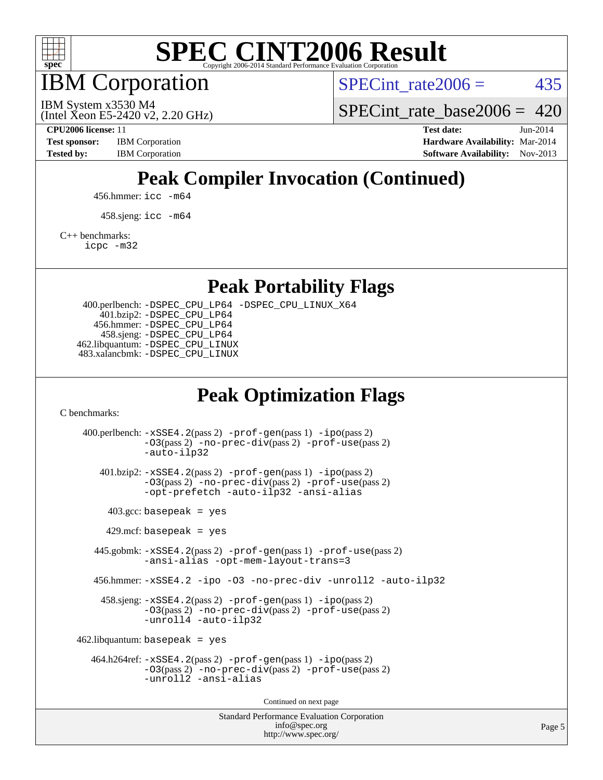

IBM Corporation

SPECint rate $2006 = 435$ 

(Intel Xeon E5-2420 v2, 2.20 GHz) IBM System x3530 M4

SPECint rate base2006 =  $420$ 

**[CPU2006 license:](http://www.spec.org/auto/cpu2006/Docs/result-fields.html#CPU2006license)** 11 **[Test date:](http://www.spec.org/auto/cpu2006/Docs/result-fields.html#Testdate)** Jun-2014 **[Test sponsor:](http://www.spec.org/auto/cpu2006/Docs/result-fields.html#Testsponsor)** IBM Corporation **[Hardware Availability:](http://www.spec.org/auto/cpu2006/Docs/result-fields.html#HardwareAvailability)** Mar-2014 **[Tested by:](http://www.spec.org/auto/cpu2006/Docs/result-fields.html#Testedby)** IBM Corporation **IBM** Corporation **[Software Availability:](http://www.spec.org/auto/cpu2006/Docs/result-fields.html#SoftwareAvailability)** Nov-2013

## **[Peak Compiler Invocation \(Continued\)](http://www.spec.org/auto/cpu2006/Docs/result-fields.html#PeakCompilerInvocation)**

456.hmmer: [icc -m64](http://www.spec.org/cpu2006/results/res2014q3/cpu2006-20140611-29872.flags.html#user_peakCCLD456_hmmer_intel_icc_64bit_bda6cc9af1fdbb0edc3795bac97ada53)

458.sjeng: [icc -m64](http://www.spec.org/cpu2006/results/res2014q3/cpu2006-20140611-29872.flags.html#user_peakCCLD458_sjeng_intel_icc_64bit_bda6cc9af1fdbb0edc3795bac97ada53)

[C++ benchmarks:](http://www.spec.org/auto/cpu2006/Docs/result-fields.html#CXXbenchmarks)

[icpc -m32](http://www.spec.org/cpu2006/results/res2014q3/cpu2006-20140611-29872.flags.html#user_CXXpeak_intel_icpc_4e5a5ef1a53fd332b3c49e69c3330699)

**[Peak Portability Flags](http://www.spec.org/auto/cpu2006/Docs/result-fields.html#PeakPortabilityFlags)**

 400.perlbench: [-DSPEC\\_CPU\\_LP64](http://www.spec.org/cpu2006/results/res2014q3/cpu2006-20140611-29872.flags.html#b400.perlbench_peakCPORTABILITY_DSPEC_CPU_LP64) [-DSPEC\\_CPU\\_LINUX\\_X64](http://www.spec.org/cpu2006/results/res2014q3/cpu2006-20140611-29872.flags.html#b400.perlbench_peakCPORTABILITY_DSPEC_CPU_LINUX_X64) 401.bzip2: [-DSPEC\\_CPU\\_LP64](http://www.spec.org/cpu2006/results/res2014q3/cpu2006-20140611-29872.flags.html#suite_peakCPORTABILITY401_bzip2_DSPEC_CPU_LP64) 456.hmmer: [-DSPEC\\_CPU\\_LP64](http://www.spec.org/cpu2006/results/res2014q3/cpu2006-20140611-29872.flags.html#suite_peakCPORTABILITY456_hmmer_DSPEC_CPU_LP64) 458.sjeng: [-DSPEC\\_CPU\\_LP64](http://www.spec.org/cpu2006/results/res2014q3/cpu2006-20140611-29872.flags.html#suite_peakCPORTABILITY458_sjeng_DSPEC_CPU_LP64) 462.libquantum: [-DSPEC\\_CPU\\_LINUX](http://www.spec.org/cpu2006/results/res2014q3/cpu2006-20140611-29872.flags.html#b462.libquantum_peakCPORTABILITY_DSPEC_CPU_LINUX) 483.xalancbmk: [-DSPEC\\_CPU\\_LINUX](http://www.spec.org/cpu2006/results/res2014q3/cpu2006-20140611-29872.flags.html#b483.xalancbmk_peakCXXPORTABILITY_DSPEC_CPU_LINUX)

### **[Peak Optimization Flags](http://www.spec.org/auto/cpu2006/Docs/result-fields.html#PeakOptimizationFlags)**

[C benchmarks](http://www.spec.org/auto/cpu2006/Docs/result-fields.html#Cbenchmarks):

Standard Performance Evaluation Corporation 400.perlbench: [-xSSE4.2](http://www.spec.org/cpu2006/results/res2014q3/cpu2006-20140611-29872.flags.html#user_peakPASS2_CFLAGSPASS2_LDCFLAGS400_perlbench_f-xSSE42_f91528193cf0b216347adb8b939d4107)(pass 2) [-prof-gen](http://www.spec.org/cpu2006/results/res2014q3/cpu2006-20140611-29872.flags.html#user_peakPASS1_CFLAGSPASS1_LDCFLAGS400_perlbench_prof_gen_e43856698f6ca7b7e442dfd80e94a8fc)(pass 1) [-ipo](http://www.spec.org/cpu2006/results/res2014q3/cpu2006-20140611-29872.flags.html#user_peakPASS2_CFLAGSPASS2_LDCFLAGS400_perlbench_f-ipo)(pass 2) [-O3](http://www.spec.org/cpu2006/results/res2014q3/cpu2006-20140611-29872.flags.html#user_peakPASS2_CFLAGSPASS2_LDCFLAGS400_perlbench_f-O3)(pass 2) [-no-prec-div](http://www.spec.org/cpu2006/results/res2014q3/cpu2006-20140611-29872.flags.html#user_peakPASS2_CFLAGSPASS2_LDCFLAGS400_perlbench_f-no-prec-div)(pass 2) [-prof-use](http://www.spec.org/cpu2006/results/res2014q3/cpu2006-20140611-29872.flags.html#user_peakPASS2_CFLAGSPASS2_LDCFLAGS400_perlbench_prof_use_bccf7792157ff70d64e32fe3e1250b55)(pass 2) [-auto-ilp32](http://www.spec.org/cpu2006/results/res2014q3/cpu2006-20140611-29872.flags.html#user_peakCOPTIMIZE400_perlbench_f-auto-ilp32) 401.bzip2: [-xSSE4.2](http://www.spec.org/cpu2006/results/res2014q3/cpu2006-20140611-29872.flags.html#user_peakPASS2_CFLAGSPASS2_LDCFLAGS401_bzip2_f-xSSE42_f91528193cf0b216347adb8b939d4107)(pass 2) [-prof-gen](http://www.spec.org/cpu2006/results/res2014q3/cpu2006-20140611-29872.flags.html#user_peakPASS1_CFLAGSPASS1_LDCFLAGS401_bzip2_prof_gen_e43856698f6ca7b7e442dfd80e94a8fc)(pass 1) [-ipo](http://www.spec.org/cpu2006/results/res2014q3/cpu2006-20140611-29872.flags.html#user_peakPASS2_CFLAGSPASS2_LDCFLAGS401_bzip2_f-ipo)(pass 2) [-O3](http://www.spec.org/cpu2006/results/res2014q3/cpu2006-20140611-29872.flags.html#user_peakPASS2_CFLAGSPASS2_LDCFLAGS401_bzip2_f-O3)(pass 2) [-no-prec-div](http://www.spec.org/cpu2006/results/res2014q3/cpu2006-20140611-29872.flags.html#user_peakPASS2_CFLAGSPASS2_LDCFLAGS401_bzip2_f-no-prec-div)(pass 2) [-prof-use](http://www.spec.org/cpu2006/results/res2014q3/cpu2006-20140611-29872.flags.html#user_peakPASS2_CFLAGSPASS2_LDCFLAGS401_bzip2_prof_use_bccf7792157ff70d64e32fe3e1250b55)(pass 2) [-opt-prefetch](http://www.spec.org/cpu2006/results/res2014q3/cpu2006-20140611-29872.flags.html#user_peakCOPTIMIZE401_bzip2_f-opt-prefetch) [-auto-ilp32](http://www.spec.org/cpu2006/results/res2014q3/cpu2006-20140611-29872.flags.html#user_peakCOPTIMIZE401_bzip2_f-auto-ilp32) [-ansi-alias](http://www.spec.org/cpu2006/results/res2014q3/cpu2006-20140611-29872.flags.html#user_peakCOPTIMIZE401_bzip2_f-ansi-alias)  $403.\text{gcc: basepeak}$  = yes  $429$ .mcf: basepeak = yes 445.gobmk: [-xSSE4.2](http://www.spec.org/cpu2006/results/res2014q3/cpu2006-20140611-29872.flags.html#user_peakPASS2_CFLAGSPASS2_LDCFLAGS445_gobmk_f-xSSE42_f91528193cf0b216347adb8b939d4107)(pass 2) [-prof-gen](http://www.spec.org/cpu2006/results/res2014q3/cpu2006-20140611-29872.flags.html#user_peakPASS1_CFLAGSPASS1_LDCFLAGS445_gobmk_prof_gen_e43856698f6ca7b7e442dfd80e94a8fc)(pass 1) [-prof-use](http://www.spec.org/cpu2006/results/res2014q3/cpu2006-20140611-29872.flags.html#user_peakPASS2_CFLAGSPASS2_LDCFLAGS445_gobmk_prof_use_bccf7792157ff70d64e32fe3e1250b55)(pass 2) [-ansi-alias](http://www.spec.org/cpu2006/results/res2014q3/cpu2006-20140611-29872.flags.html#user_peakCOPTIMIZE445_gobmk_f-ansi-alias) [-opt-mem-layout-trans=3](http://www.spec.org/cpu2006/results/res2014q3/cpu2006-20140611-29872.flags.html#user_peakCOPTIMIZE445_gobmk_f-opt-mem-layout-trans_a7b82ad4bd7abf52556d4961a2ae94d5) 456.hmmer: [-xSSE4.2](http://www.spec.org/cpu2006/results/res2014q3/cpu2006-20140611-29872.flags.html#user_peakCOPTIMIZE456_hmmer_f-xSSE42_f91528193cf0b216347adb8b939d4107) [-ipo](http://www.spec.org/cpu2006/results/res2014q3/cpu2006-20140611-29872.flags.html#user_peakCOPTIMIZE456_hmmer_f-ipo) [-O3](http://www.spec.org/cpu2006/results/res2014q3/cpu2006-20140611-29872.flags.html#user_peakCOPTIMIZE456_hmmer_f-O3) [-no-prec-div](http://www.spec.org/cpu2006/results/res2014q3/cpu2006-20140611-29872.flags.html#user_peakCOPTIMIZE456_hmmer_f-no-prec-div) [-unroll2](http://www.spec.org/cpu2006/results/res2014q3/cpu2006-20140611-29872.flags.html#user_peakCOPTIMIZE456_hmmer_f-unroll_784dae83bebfb236979b41d2422d7ec2) [-auto-ilp32](http://www.spec.org/cpu2006/results/res2014q3/cpu2006-20140611-29872.flags.html#user_peakCOPTIMIZE456_hmmer_f-auto-ilp32) 458.sjeng: [-xSSE4.2](http://www.spec.org/cpu2006/results/res2014q3/cpu2006-20140611-29872.flags.html#user_peakPASS2_CFLAGSPASS2_LDCFLAGS458_sjeng_f-xSSE42_f91528193cf0b216347adb8b939d4107)(pass 2) [-prof-gen](http://www.spec.org/cpu2006/results/res2014q3/cpu2006-20140611-29872.flags.html#user_peakPASS1_CFLAGSPASS1_LDCFLAGS458_sjeng_prof_gen_e43856698f6ca7b7e442dfd80e94a8fc)(pass 1) [-ipo](http://www.spec.org/cpu2006/results/res2014q3/cpu2006-20140611-29872.flags.html#user_peakPASS2_CFLAGSPASS2_LDCFLAGS458_sjeng_f-ipo)(pass 2) [-O3](http://www.spec.org/cpu2006/results/res2014q3/cpu2006-20140611-29872.flags.html#user_peakPASS2_CFLAGSPASS2_LDCFLAGS458_sjeng_f-O3)(pass 2) [-no-prec-div](http://www.spec.org/cpu2006/results/res2014q3/cpu2006-20140611-29872.flags.html#user_peakPASS2_CFLAGSPASS2_LDCFLAGS458_sjeng_f-no-prec-div)(pass 2) [-prof-use](http://www.spec.org/cpu2006/results/res2014q3/cpu2006-20140611-29872.flags.html#user_peakPASS2_CFLAGSPASS2_LDCFLAGS458_sjeng_prof_use_bccf7792157ff70d64e32fe3e1250b55)(pass 2) [-unroll4](http://www.spec.org/cpu2006/results/res2014q3/cpu2006-20140611-29872.flags.html#user_peakCOPTIMIZE458_sjeng_f-unroll_4e5e4ed65b7fd20bdcd365bec371b81f) [-auto-ilp32](http://www.spec.org/cpu2006/results/res2014q3/cpu2006-20140611-29872.flags.html#user_peakCOPTIMIZE458_sjeng_f-auto-ilp32)  $462$ .libquantum: basepeak = yes 464.h264ref: [-xSSE4.2](http://www.spec.org/cpu2006/results/res2014q3/cpu2006-20140611-29872.flags.html#user_peakPASS2_CFLAGSPASS2_LDCFLAGS464_h264ref_f-xSSE42_f91528193cf0b216347adb8b939d4107)(pass 2) [-prof-gen](http://www.spec.org/cpu2006/results/res2014q3/cpu2006-20140611-29872.flags.html#user_peakPASS1_CFLAGSPASS1_LDCFLAGS464_h264ref_prof_gen_e43856698f6ca7b7e442dfd80e94a8fc)(pass 1) [-ipo](http://www.spec.org/cpu2006/results/res2014q3/cpu2006-20140611-29872.flags.html#user_peakPASS2_CFLAGSPASS2_LDCFLAGS464_h264ref_f-ipo)(pass 2) [-O3](http://www.spec.org/cpu2006/results/res2014q3/cpu2006-20140611-29872.flags.html#user_peakPASS2_CFLAGSPASS2_LDCFLAGS464_h264ref_f-O3)(pass 2) [-no-prec-div](http://www.spec.org/cpu2006/results/res2014q3/cpu2006-20140611-29872.flags.html#user_peakPASS2_CFLAGSPASS2_LDCFLAGS464_h264ref_f-no-prec-div)(pass 2) [-prof-use](http://www.spec.org/cpu2006/results/res2014q3/cpu2006-20140611-29872.flags.html#user_peakPASS2_CFLAGSPASS2_LDCFLAGS464_h264ref_prof_use_bccf7792157ff70d64e32fe3e1250b55)(pass 2) [-unroll2](http://www.spec.org/cpu2006/results/res2014q3/cpu2006-20140611-29872.flags.html#user_peakCOPTIMIZE464_h264ref_f-unroll_784dae83bebfb236979b41d2422d7ec2) [-ansi-alias](http://www.spec.org/cpu2006/results/res2014q3/cpu2006-20140611-29872.flags.html#user_peakCOPTIMIZE464_h264ref_f-ansi-alias) Continued on next page

[info@spec.org](mailto:info@spec.org) <http://www.spec.org/>